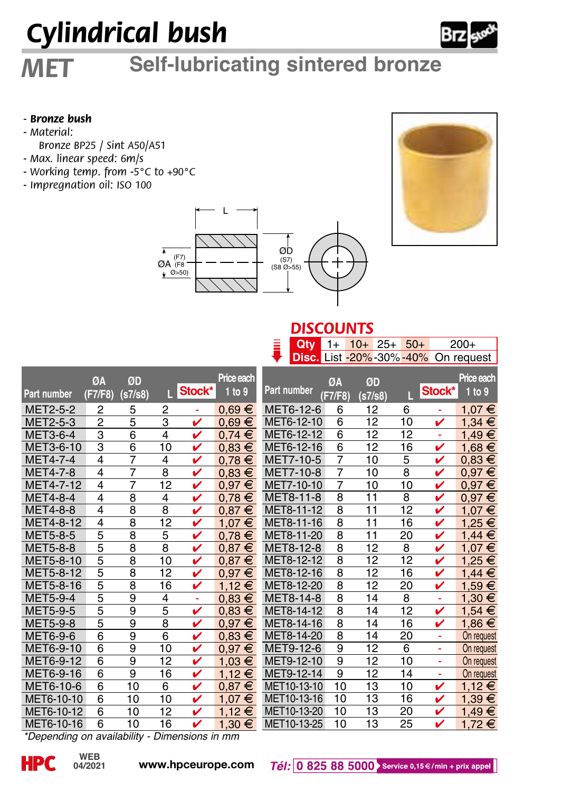# *Cylindrical bush*

## *MET* **Self-lubricating sintered bronze**

#### *- Bronze bush*

- *Material:*
- *Bronze BP25 / Sint A50/A51*
- *Max. linear speed: 6m/s*
- *Working temp. from -5°C to +90°C*
- *Impregnation oil: ISO 100*





#### *DISCOUNTS* **Qty** 1+ 10+ 25+ 50+ 200+

|                 |                |                |                |        |            | i           | Qty                     | $1+$           | $10+25+$        |                | $50+$ |        | $200+$     |
|-----------------|----------------|----------------|----------------|--------|------------|-------------|-------------------------|----------------|-----------------|----------------|-------|--------|------------|
|                 |                |                |                |        |            |             | Disc. List -20%-30%-40% |                |                 |                |       |        | On request |
|                 |                |                |                |        | Price each |             |                         |                |                 |                |       |        | Price each |
|                 | ØA             | ØD             |                |        |            |             |                         | ØA             | ØD              |                |       |        |            |
| Part number     | (F7/F8)        | (s7/s8)        | г              | Stock* | 1 to 9     | Part number |                         | [F7/F8]        | (s7/s8)         |                | п     | Stock* | 1 to 9     |
| <b>MET2-5-2</b> | 2              | 5              | 2              | ٠      | $0.69 \in$ |             | MET6-12-6               | 6              | 12              | 6              |       | ۰      | 1.07 €     |
| MET2-5-3        | $\overline{2}$ | $\overline{5}$ | 3              | v      | $0.69 \in$ |             | MET6-12-10              | 6              | 12              |                | 10    | v      | 1,34 €     |
| MET3-6-4        | 3              | $\overline{6}$ | $\overline{4}$ | v      | $0.74 \in$ |             | MET6-12-12              | 6              | 12              |                | 12    | ÷      | 1,49 €     |
| MET3-6-10       | 3              | 6              | 10             | v      | $0.83 \in$ |             | MET6-12-16              | 6              | 12              |                | 16    | v      | 1,68 €     |
| <b>MET4-7-4</b> | $\overline{4}$ | 7              | $\overline{4}$ | v      | $0.78 \in$ |             | MET7-10-5               | 7              | 10              | 5              |       | v      | $0.83 \in$ |
| <b>MET4-7-8</b> | 4              | 7              | 8              | v      | $0.83 \in$ |             | MET7-10-8               | 7              | 10              | $\overline{8}$ |       | v      | $0,97 \in$ |
| MET4-7-12       | 4              | $\overline{7}$ | 12             | v      | $0.97 \in$ |             | MET7-10-10              | 7              | 10              |                | 10    | v      | $0.97 \in$ |
| <b>MET4-8-4</b> | 4              | $\overline{8}$ | 4              | v      | $0.78 \in$ |             | MET8-11-8               | $\overline{8}$ | 11              | 8              |       | ✓      | $0.97 \in$ |
| <b>MET4-8-8</b> | 4              | 8              | 8              | v      | $0.87 \in$ |             | MET8-11-12              | 8              | 11              |                | 12    | ✓      | 1,07 €     |
| MET4-8-12       | 4              | 8              | 12             | v      | 1,07 €     |             | MET8-11-16              | 8              | 11              |                | 16    | v      | 1,25 €     |
| MET5-8-5        | 5              | $\overline{8}$ | $\overline{5}$ | v      | $0,78 \in$ |             | MET8-11-20              | 8              | 11              |                | 20    | v      | $1,44 \in$ |
| <b>MET5-8-8</b> | 5              | $\overline{8}$ | 8              | v      | $0.87 \in$ |             | MET8-12-8               | $\overline{8}$ | 12              | 8              |       | v      | 1,07€      |
| MET5-8-10       | 5              | $\overline{8}$ | 10             | v      | $0.87 \in$ |             | MET8-12-12              | 8              | 12              |                | 12    | v      | 1,25 €     |
| MET5-8-12       | 5              | 8              | 12             | v      | $0,97 \in$ |             | MET8-12-16              | 8              | 12              |                | 16    | v      | $1,44 \in$ |
| MET5-8-16       | 5              | $\overline{8}$ | 16             | ✓      | $1,12 \in$ |             | MET8-12-20              | $\overline{8}$ | $\overline{12}$ |                | 20    | v      | 1,59 €     |
| <b>MET5-9-4</b> | 5              | $\overline{9}$ | $\overline{4}$ | ÷      | $0.83 \in$ |             | MET8-14-8               | $\overline{8}$ | $\overline{14}$ | $\overline{8}$ |       | ۰      | 1,30 €     |
| <b>MET5-9-5</b> | 5              | 9              | 5              | v      | $0.83 \in$ |             | MET8-14-12              | 8              | 14              |                | 12    | v      | 1,54 €     |
| <b>MET5-9-8</b> | 5              | $\overline{9}$ | 8              | v      | $0.97 \in$ |             | MET8-14-16              | 8              | 14              |                | 16    | v      | 1,86 €     |
| MET6-9-6        | $\overline{6}$ | $\overline{9}$ | $\overline{6}$ | v      | $0.83 \in$ |             | MET8-14-20              | 8              | 14              |                | 20    | ÷      | On request |
| MET6-9-10       | 6              | 9              | 10             | v      | $0.97 \in$ |             | MET9-12-6               | 9              | 12              | 6              |       | ٠      | On request |
| MET6-9-12       | $\overline{6}$ | $\overline{9}$ | 12             | v      | 1,03 €     |             | MET9-12-10              | 9              | 12              |                | 10    | ÷      | On request |
| MET6-9-16       | 6              | 9              | 16             | v      | $1.12 \in$ |             | MET9-12-14              | 9              | 12              |                | 14    | ٠      | On request |
| MET6-10-6       | 6              | 10             | 6              | v      | $0.87 \in$ |             | MET10-13-10             | 10             | 13              |                | 10    | v      | 1,12 €     |
| MET6-10-10      | 6              | 10             | 10             | v      | 1,07 €     |             | MET10-13-16             | 10             | 13              |                | 16    | v      | 1,39 €     |
| MET6-10-12      | 6              | 10             | 12             | v      | $1.12 \in$ |             | MET10-13-20             | 10             | 13              |                | 20    | v      | 1,49€      |
| MET6-10-16      | 6              | 10             | 16             | v      | 1,30 €     |             | MET10-13-25             | 10             | 13              |                | 25    | v      | 1,72 €     |
|                 |                | $\overline{1}$ |                |        |            |             |                         |                |                 |                |       |        |            |

*\*Depending on availability - Dimensions in mm*



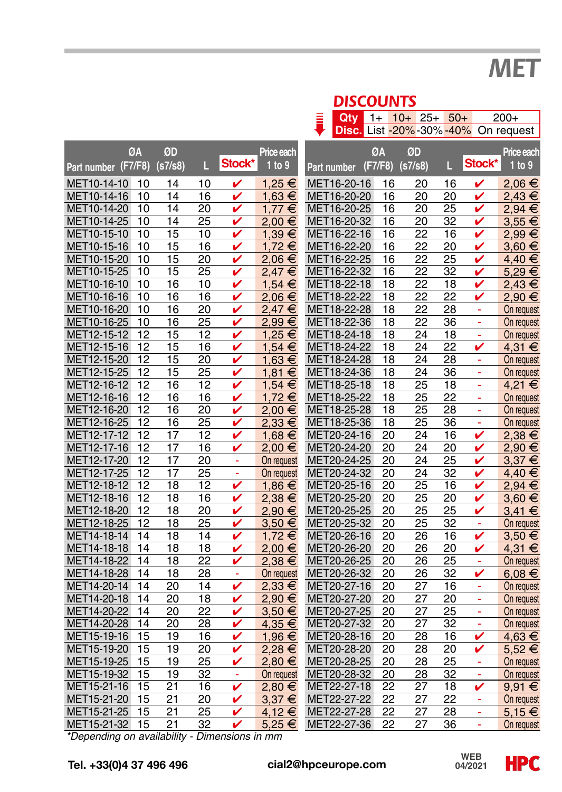## *MET*

|                                               | <b>DISCOUNTS</b> |          |          |          |         |                      |  |                            |          |          |          |                 |        |                                    |
|-----------------------------------------------|------------------|----------|----------|----------|---------|----------------------|--|----------------------------|----------|----------|----------|-----------------|--------|------------------------------------|
|                                               |                  |          |          |          |         |                      |  | Qtv                        | $1+$     | $10+25+$ |          | $50+$           |        | $200+$                             |
|                                               |                  |          |          |          |         |                      |  |                            |          |          |          |                 |        | Disc. List -20%-30%-40% On request |
|                                               |                  |          |          |          |         |                      |  |                            |          |          |          |                 |        |                                    |
|                                               | ØΑ               |          | ØD       | L        | Stock*  | Price each<br>1 to 9 |  |                            | ØA       | ØD       |          |                 | Stock* | Price each<br>1 to 9               |
| Part number (F7/F8)                           |                  |          | (s7/s8)  |          |         |                      |  | Part number                | (F7/F8)  | (s7/s8)  |          | L               |        |                                    |
| MET10-14-10                                   |                  | 10       | 14       | 10       | v       | 1,25 €               |  | MET16-20-16                | 16       |          | 20       | 16              | V      | 2,06€                              |
| MET10-14-16                                   |                  | 10       | 14       | 16       | v       | $1,63 \in$           |  | MET16-20-20                | 16       |          | 20       | 20              | v      | 2,43€                              |
| MET10-14-20                                   |                  | 10       | 14       | 20       | v       | $1.77 \in$           |  | MET16-20-25                | 16       |          | 20       | 25              | ✓      | 2,94€                              |
| MET10-14-25                                   |                  | 10       | 14       | 25       | v       | 2,00 €               |  | MET16-20-32                | 16       |          | 20       | 32              | v      | $3,55 \in$                         |
| MET10-15-10                                   |                  | 10       | 15       | 10       | v       | 1.39 €               |  | MET16-22-16                | 16       |          | 22       | 16              | v      | 2,99€                              |
| MET10-15-16                                   |                  | 10       | 15       | 16       | v       | 1,72€                |  | MET16-22-20                | 16       |          | 22       | 20              | v      | $3,60 \in$                         |
| MET10-15-20                                   |                  | 10       | 15       | 20       | v       | 2,06€                |  | MET16-22-25                | 16       |          | 22       | 25              | v      | 4,40 €                             |
| MET10-15-25                                   |                  | 10       | 15       | 25       | v       | 2,47€                |  | MET16-22-32                | 16       |          | 22       | 32              | v      | 5,29€                              |
| MET10-16-10                                   |                  | 10       | 16       | 10       | v       | $1,54 \in$           |  | MET18-22-18                | 18       |          | 22       | 18              | v      | 2,43€                              |
| MET10-16-16                                   |                  | 10       | 16       | 16       | v       | 2,06€                |  | MET18-22-22                | 18       |          | 22       | 22              | v      | 2,90 €                             |
| MET10-16-20                                   |                  | 10       | 16       | 20       | v       | 2,47€                |  | MET18-22-28                | 18       |          | 22       | 28              | ä,     | On request                         |
| MET10-16-25                                   |                  | 10       | 16       | 25       | v       | 2,99€                |  | MET18-22-36                | 18       |          | 22       | 36              | ä,     | On request                         |
| MET12-15-12                                   |                  | 12       | 15       | 12       | v       | 1,25 €               |  | MET18-24-18                | 18       |          | 24       | 18              | ÷      | On request                         |
| MET12-15-16                                   |                  | 12       | 15       | 16       | v       | $1,54 \in$           |  | MET18-24-22                | 18       |          | 24       | $\overline{22}$ | v      | $4,31 \in$                         |
| MET12-15-20                                   |                  | 12       | 15       | 20       | v       | 1,63 €               |  | MET18-24-28                | 18       |          | 24       | 28              | ÷      | On request                         |
| MET12-15-25                                   |                  | 12       | 15       | 25       | v       | 1,81 €               |  | MET18-24-36                | 18       |          | 24       | 36              | ä,     | On request                         |
| MET12-16-12                                   |                  | 12       | 16       | 12       | v       | 1,54 €               |  | MET18-25-18                | 18       |          | 25       | 18              | ä,     | 4,21 €                             |
| MET12-16-16                                   |                  | 12       | 16       | 16       | v       | 1,72 €               |  | MET18-25-22                | 18       |          | 25       | 22              | ä,     | On request                         |
| MET12-16-20                                   |                  | 12       | 16       | 20       | v       | 2,00 €               |  | MET18-25-28                | 18       |          | 25       | 28              | ä,     | On request                         |
| MET12-16-25                                   |                  | 12       | 16       | 25       | v       | 2,33€                |  | MET18-25-36                | 18       |          | 25       | 36              | ÷      | On request                         |
| MET12-17-12                                   |                  | 12       | 17       | 12       | v       | $1,68 \in$           |  | MET20-24-16                | 20       |          | 24       | 16              | v      | 2,38€                              |
| MET12-17-16<br>MET12-17-20                    |                  | 12       | 17       | 16       | v       | 2,00 €               |  | MET20-24-20                | 20       |          | 24       | 20              | v      | 2,90 €                             |
|                                               |                  | 12       | 17       | 20       | ÷,      | On request           |  | MET20-24-25                | 20       |          | 24       | 25              | v      | $3,37 \in$                         |
| MET12-17-25<br>MET12-18-12                    |                  | 12<br>12 | 17<br>18 | 25<br>12 | ä,<br>v | On request           |  | MET20-24-32<br>MET20-25-16 | 20<br>20 |          | 24<br>25 | 32<br>16        | v<br>v | 4,40 €                             |
| MET12-18-16                                   |                  | 12       | 18       | 16       | v       | 1,86 €<br>2,38€      |  | MET20-25-20                | 20       |          | 25       | 20              | v      | 2,94€<br>3,60 €                    |
| MET12-18-20                                   |                  | 12       | 18       | 20       | v       | 2,90 €               |  | MET20-25-25                | 20       |          | 25       | 25              | v      | $3,41 \in$                         |
| MET12-18-25                                   |                  | 12       | 18       | 25       | v       | $3,50 \in$           |  | MET20-25-32                | 20       |          | 25       | 32              | $\sim$ |                                    |
| MET14-18-14                                   |                  | 14       | 18       | 14       | v       | 1,72 €               |  | MET20-26-16                | 20       |          | 26       | 16              | v      | On request<br>$3,50 \in$           |
| MET14-18-18                                   |                  | 14       | 18       | 18       | v       | 2,00 €               |  | MET20-26-20                | 20       |          | 26       | 20              | v      | 4,31 €                             |
| MET14-18-22                                   |                  | 14       | 18       | 22       | v       | 2,38€                |  | MET20-26-25                | 20       |          | 26       | 25              | ÷      | On request                         |
| MET14-18-28                                   |                  | 14       | 18       | 28       | ÷,      | On request           |  | MET20-26-32                | 20       |          | 26       | 32              | v      | 6,08 €                             |
| MET14-20-14                                   |                  | 14       | 20       | 14       | v       | 2,33€                |  | MET20-27-16                | 20       |          | 27       | 16              |        | On request                         |
| MET14-20-18                                   |                  | 14       | 20       | 18       | v       | 2,90 €               |  | MET20-27-20                | 20       |          | 27       | 20              | ÷,     | On request                         |
| MET14-20-22                                   |                  | 14       | 20       | 22       | v       | 3,50 €               |  | MET20-27-25                | 20       |          | 27       | 25              | ä,     | On request                         |
| MET14-20-28                                   |                  | 14       | 20       | 28       | v       | 4,35 €               |  | MET20-27-32                | 20       |          | 27       | 32              | ä,     | On request                         |
| MET15-19-16                                   |                  | 15       | 19       | 16       | v       | 1,96 €               |  | MET20-28-16                | 20       |          | 28       | 16              | v      | 4,63 €                             |
| MET15-19-20                                   |                  | 15       | 19       | 20       | v       | 2,28€                |  | MET20-28-20                | 20       |          | 28       | 20              | v      | 5,52€                              |
| MET15-19-25                                   |                  | 15       | 19       | 25       | v       | 2,80€                |  | MET20-28-25                | 20       |          | 28       | 25              | ä,     | On request                         |
| MET15-19-32                                   |                  | 15       | 19       | 32       | ٠       | On request           |  | MET20-28-32                | 20       |          | 28       | 32              | ÷      | On request                         |
| MET15-21-16                                   |                  | 15       | 21       | 16       | v       | 2,80€                |  | MET22-27-18                | 22       |          | 27       | 18              | v      | 9,91€                              |
| MET15-21-20                                   |                  | 15       | 21       | 20       | v       | $3,37 \in$           |  | MET22-27-22                | 22       |          | 27       | 22              | ä,     | On request                         |
| MET15-21-25                                   |                  | 15       | 21       | 25       | v       | 4,12€                |  | MET22-27-28                | 22       |          | 27       | 28              | ä,     | 5,15 $€$                           |
| MET15-21-32                                   |                  | 15       | 21       | 32       | v       | $5,25 \in$           |  | MET22-27-36                | 22       |          | 27       | 36              | ä,     | On request                         |
| *Depending on availability - Dimensions in mm |                  |          |          |          |         |                      |  |                            |          |          |          |                 |        |                                    |

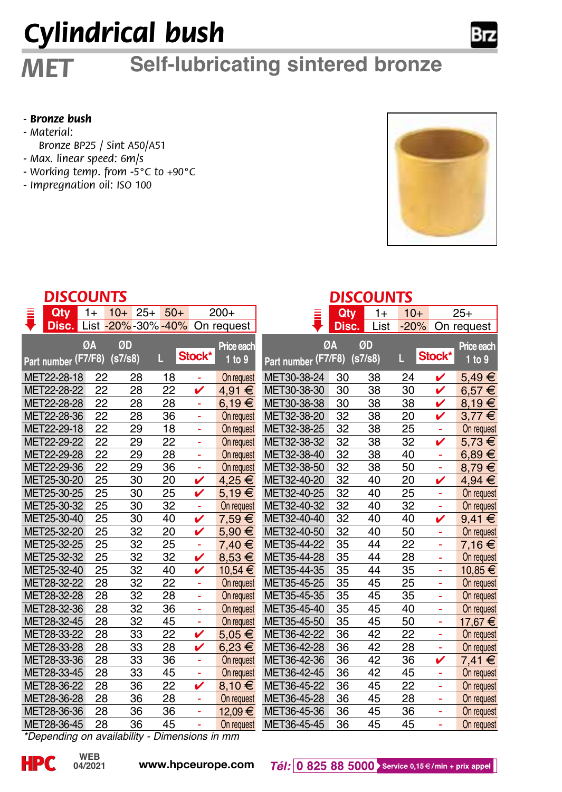# *Cylindrical bush*

## *MET* **Self-lubricating sintered bronze**

#### *- Bronze bush*

- *Material:*
- *Bronze BP25 / Sint A50/A51*
- *Max. linear speed: 6m/s*
- *Working temp. from -5°C to +90°C*
- *Impregnation oil: ISO 100*



|   | DISCOUNTS                                     |      |         |       |       |        |                              | <b>DISCOUNTS</b>    |       |         |        |        |                      |  |
|---|-----------------------------------------------|------|---------|-------|-------|--------|------------------------------|---------------------|-------|---------|--------|--------|----------------------|--|
| Ī | Qtv                                           | $1+$ | $10+$   | $25+$ | $50+$ |        | $200+$                       | Ξ                   | Oty   | $1+$    | $10+$  |        | $25+$                |  |
|   | Disc.                                         |      |         |       |       |        | List -20%-30%-40% On request |                     | Disc. | List    | $-20%$ |        | On request           |  |
|   |                                               | ØA   | ØD      |       |       |        |                              |                     | ØA    | ØD      |        |        |                      |  |
|   |                                               |      | (s7/s8) |       | П.    | Stock* | Price each<br>1 to 9         |                     |       | (s7/s8) | Ш      | Stock* | Price each<br>1 to 9 |  |
|   | Part number (F7/F8)                           |      |         |       |       |        |                              | Part number (F7/F8) |       |         |        |        |                      |  |
|   | MET22-28-18                                   | 22   |         | 28    | 18    | Ξ      | On request                   | MET30-38-24         | 30    | 38      | 24     | ✓      | 5,49€                |  |
|   | MET22-28-22                                   | 22   |         | 28    | 22    | ✓      | 4,91 €                       | MET30-38-30         | 30    | 38      | 30     | ✓      | 6,57€                |  |
|   | MET22-28-28                                   | 22   |         | 28    | 28    | ä,     | 6.19€                        | MET30-38-38         | 30    | 38      | 38     | v      | 8.19€                |  |
|   | MET22-28-36                                   | 22   |         | 28    | 36    | ä,     | On request                   | MET32-38-20         | 32    | 38      | 20     | v      | $3.77 \in$           |  |
|   | MET22-29-18                                   | 22   |         | 29    | 18    |        | On request                   | MET32-38-25         | 32    | 38      | 25     |        | On request           |  |
|   | MET22-29-22                                   | 22   |         | 29    | 22    | Ξ      | On request                   | MET32-38-32         | 32    | 38      | 32     | v      | 5.73 €               |  |
|   | MET22-29-28                                   | 22   |         | 29    | 28    | ä,     | On request                   | MET32-38-40         | 32    | 38      | 40     | ÷      | $6,89 \in$           |  |
|   | MET22-29-36                                   | 22   |         | 29    | 36    | ä,     | On request                   | MET32-38-50         | 32    | 38      | 50     | ÷,     | 8.79€                |  |
|   | MET25-30-20                                   | 25   |         | 30    | 20    | v      | 4,25 €                       | MET32-40-20         | 32    | 40      | 20     | v      | 4,94 €               |  |
|   | MET25-30-25                                   | 25   |         | 30    | 25    | v      | 5.19€                        | MET32-40-25         | 32    | 40      | 25     | ä,     | On request           |  |
|   | MET25-30-32                                   | 25   |         | 30    | 32    | ä,     | On request                   | MET32-40-32         | 32    | 40      | 32     |        | On request           |  |
|   | MET25-30-40                                   | 25   |         | 30    | 40    | v      | 7,59€                        | MET32-40-40         | 32    | 40      | 40     | ✓      | $9.41 \in$           |  |
|   | MET25-32-20                                   | 25   |         | 32    | 20    |        | 5,90 €                       | MET32-40-50         | 32    | 40      | 50     |        | On request           |  |
|   | MET25-32-25                                   | 25   |         | 32    | 25    | Ξ      | 7.40 €                       | MET35-44-22         | 35    | 44      | 22     |        | 7.16€                |  |
|   | MET25-32-32                                   | 25   |         | 32    | 32    | ✓      | 8.53 €                       | MET35-44-28         | 35    | 44      | 28     | ÷      | On request           |  |
|   | MET25-32-40                                   | 25   |         | 32    | 40    | v      | 10,54 €                      | MET35-44-35         | 35    | 44      | 35     | ۰      | 10,85 €              |  |
|   | MET28-32-22                                   | 28   |         | 32    | 22    | ä,     | On request                   | MET35-45-25         | 35    | 45      | 25     | ۰      | On request           |  |
|   | MET28-32-28                                   | 28   |         | 32    | 28    | ä,     | On request                   | MET35-45-35         | 35    | 45      | 35     | ä,     | On request           |  |
|   | MET28-32-36                                   | 28   |         | 32    | 36    | ä,     | On request                   | MET35-45-40         | 35    | 45      | 40     |        | On request           |  |
|   | MET28-32-45                                   | 28   |         | 32    | 45    | ä,     | On request                   | MET35-45-50         | 35    | 45      | 50     | ä,     | 17.67 €              |  |
|   | MET28-33-22                                   | 28   |         | 33    | 22    | ✓      | $5.05 \in$                   | MET36-42-22         | 36    | 42      | 22     | ä,     | On request           |  |
|   | MET28-33-28                                   | 28   |         | 33    | 28    | v      | 6.23 €                       | MET36-42-28         | 36    | 42      | 28     |        | On request           |  |
|   | MET28-33-36                                   | 28   |         | 33    | 36    | ÷      | On request                   | MET36-42-36         | 36    | 42      | 36     | v      | 7.41 €               |  |
|   | MET28-33-45                                   | 28   |         | 33    | 45    | Ξ      | On request                   | MET36-42-45         | 36    | 42      | 45     | ÷      | On request           |  |
|   | MET28-36-22                                   | 28   |         | 36    | 22    | v      | 8,10€                        | MET36-45-22         | 36    | 45      | 22     | ۰      | On request           |  |
|   | MET28-36-28                                   | 28   |         | 36    | 28    | ä,     | On request                   | MET36-45-28         | 36    | 45      | 28     | ٠      | On request           |  |
|   | MET28-36-36                                   | 28   |         | 36    | 36    | ä,     | 12.09 €                      | MET36-45-36         | 36    | 45      | 36     | ä,     | On request           |  |
|   | MET28-36-45                                   | 28   |         | 36    | 45    |        | On request                   | MET36-45-45         | 36    | 45      | 45     | ÷,     | On request           |  |
|   | *Depending on availability - Dimensions in mm |      |         |       |       |        |                              |                     |       |         |        |        |                      |  |

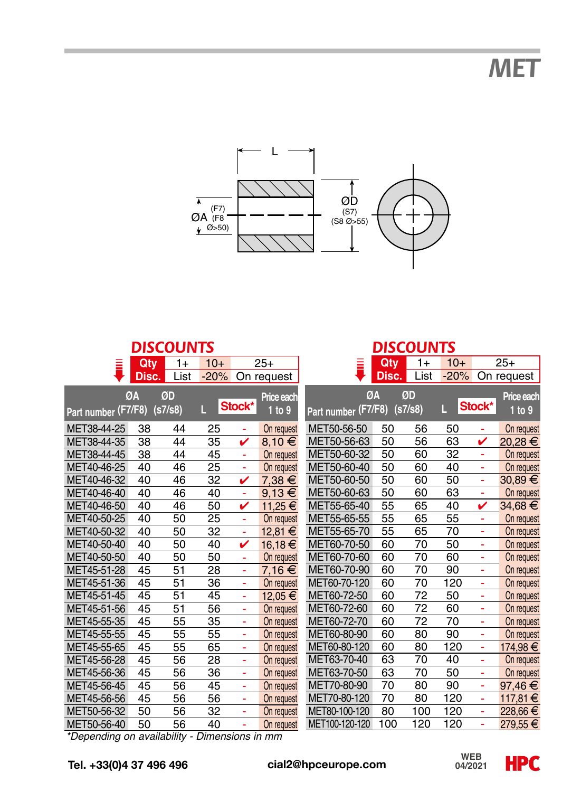*MET*



|                                               |       | <b>DISCOUNTS</b> |        |        |            |                     |            | <b>DISCOUNTS</b> |        |        |             |
|-----------------------------------------------|-------|------------------|--------|--------|------------|---------------------|------------|------------------|--------|--------|-------------|
| Ξ                                             | Qty   | $1+$             | $10+$  |        | $25+$      |                     | <b>Qty</b> | $1+$             | $10+$  |        | $25+$       |
|                                               | Disc. | List             | $-20%$ |        | On request |                     | Disc.      | List             | $-20%$ |        | On request  |
|                                               | ØA    | ØD               |        |        | Price each | ØΑ                  |            | ØD               |        |        | Price each  |
| Part number (F7/F8)                           |       | (s7/s8)          | п      | Stock* | 1 to 9     | Part number (F7/F8) |            | (s7/s8)          | Ш      | Stock* | 1 to 9      |
|                                               |       |                  |        |        |            |                     |            |                  |        |        |             |
| MET38-44-25                                   | 38    | 44               | 25     | ä,     | On request | MET50-56-50         | 50         | 56               | 50     | ä,     | On request  |
| MET38-44-35                                   | 38    | 44               | 35     | v      | 8.10€      | MET50-56-63         | 50         | 56               | 63     | v      | 20.28 €     |
| MET38-44-45                                   | 38    | 44               | 45     | ä,     | On request | MET50-60-32         | 50         | 60               | 32     | ä,     | On request  |
| MET40-46-25                                   | 40    | 46               | 25     | ä,     | On request | MET50-60-40         | 50         | 60               | 40     | ä,     | On request  |
| MET40-46-32                                   | 40    | 46               | 32     | v      | 7,38 €     | MET50-60-50         | 50         | 60               | 50     | ä,     | $30,89 \in$ |
| MET40-46-40                                   | 40    | 46               | 40     | ä,     | $9,13 \in$ | MET50-60-63         | 50         | 60               | 63     | ä,     | On request  |
| MET40-46-50                                   | 40    | 46               | 50     | v      | 11,25 €    | MET55-65-40         | 55         | 65               | 40     | v      | 34.68 €     |
| MET40-50-25                                   | 40    | 50               | 25     | ÷,     | On request | MET55-65-55         | 55         | 65               | 55     | ٠      | On request  |
| MET40-50-32                                   | 40    | 50               | 32     | ٠      | 12,81 €    | MET55-65-70         | 55         | 65               | 70     | ä,     | On request  |
| MET40-50-40                                   | 40    | 50               | 40     | v      | 16,18€     | MET60-70-50         | 60         | 70               | 50     | ä,     | On request  |
| MET40-50-50                                   | 40    | 50               | 50     | ä,     | On request | MET60-70-60         | 60         | 70               | 60     | ä,     | On request  |
| MET45-51-28                                   | 45    | 51               | 28     | ä,     | 7,16€      | MET60-70-90         | 60         | 70               | 90     | ä,     | On request  |
| MET45-51-36                                   | 45    | 51               | 36     | ä,     | On request | MET60-70-120        | 60         | 70               | 120    | ä,     | On request  |
| MET45-51-45                                   | 45    | 51               | 45     | ä,     | 12,05 €    | MET60-72-50         | 60         | 72               | 50     | ä,     | On request  |
| MET45-51-56                                   | 45    | 51               | 56     | ٠      | On request | MET60-72-60         | 60         | $\overline{72}$  | 60     | ä,     | On request  |
| MET45-55-35                                   | 45    | 55               | 35     | ÷,     | On request | MET60-72-70         | 60         | 72               | 70     | ä,     | On request  |
| MET45-55-55                                   | 45    | 55               | 55     | ÷,     | On request | MET60-80-90         | 60         | 80               | 90     | ä,     | On request  |
| MET45-55-65                                   | 45    | 55               | 65     | ٠      | On request | MET60-80-120        | 60         | 80               | 120    | ä,     | 174,98€     |
| MET45-56-28                                   | 45    | 56               | 28     | ÷,     | On request | MET63-70-40         | 63         | 70               | 40     | ä,     | On request  |
| MET45-56-36                                   | 45    | 56               | 36     | ٠      | On request | MET63-70-50         | 63         | 70               | 50     | ä,     | On request  |
| MET45-56-45                                   | 45    | 56               | 45     | ä,     | On request | MET70-80-90         | 70         | 80               | 90     | ä,     | 97.46 €     |
| MET45-56-56                                   | 45    | 56               | 56     | ä,     | On request | MET70-80-120        | 70         | 80               | 120    | ä,     | 117,81€     |
| MET50-56-32                                   | 50    | 56               | 32     | ٠      | On request | MET80-100-120       | 80         | 100              | 120    | ä,     | 228.66 €    |
| MET50-56-40                                   | 50    | 56               | 40     | ٠      | On request | MET100-120-120      | 100        | 120              | 120    | ä,     | 279,55 €    |
| *Depending on availability - Dimensions in mm |       |                  |        |        |            |                     |            |                  |        |        |             |

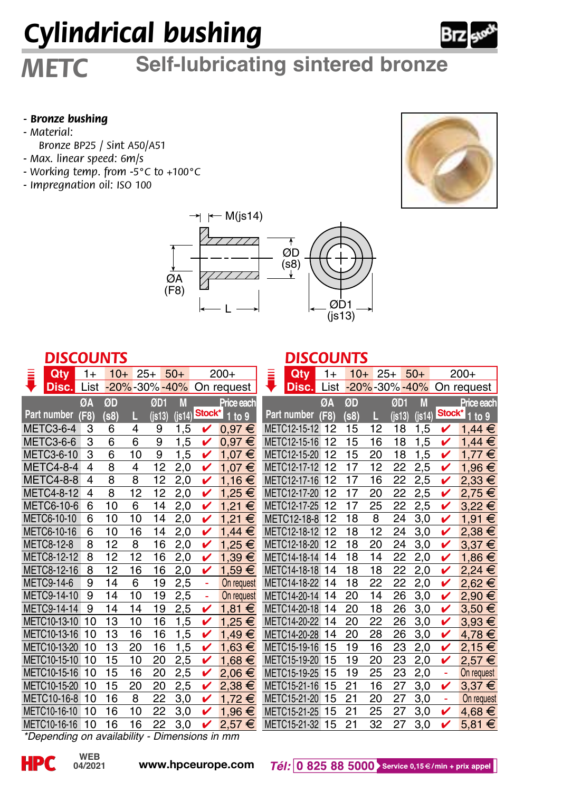# *Cylindrical bushing*



## *METC* **Self-lubricating sintered bronze**

#### *- Bronze bushing*

- *Material:*
- *Bronze BP25 / Sint A50/A51*
- *Max. linear speed: 6m/s*
- *Working temp. from -5°C to +100°C*
- *Impregnation oil: ISO 100*





#### *DISCOUNTS*

| Qtv               | $1+$ | $10+$ | $25+$        | $50+$                     |        | $200+$     | Qty          | $1+$ |
|-------------------|------|-------|--------------|---------------------------|--------|------------|--------------|------|
| Disc.             | List |       | -20%-30%-40% |                           |        | On request | Disc.        | List |
|                   | ØΔ   | ØD    |              | M<br>ØD1                  |        | Price each |              | ØA   |
| Part number       | (F8) | (s8)  | П            | $($ is13 $)$<br>$(i$ s14) | Stock* | to 9       | Part number  | (F8) |
| METC3-6-4         | 3    | 6     | 4            | 9<br>1,5                  | v      | $0.97 \in$ | METC12-15-12 | 12   |
| METC3-6-6         | 3    | 6     | 6            | 9<br>1,5                  |        | €<br>0,97  | METC12-15-16 | 12   |
| METC3-6-10        | 3    | 6     | 10           | 9<br>1,5                  | v      | 1.07<br>€  | METC12-15-20 | 12   |
| <b>METC4-8-4</b>  | 4    | 8     | 4            | 12<br>2,0                 | v      | 1.07<br>€  | METC12-17-12 | 12   |
| <b>METC4-8-8</b>  | 4    | 8     | 8            | 12<br>2,0                 | ✓      | 1,16€      | METC12-17-16 | 12   |
| <b>METC4-8-12</b> | 4    | 8     | 12           | 12<br>2,0                 | v      | 1.25<br>€  | METC12-17-20 | 12   |
| METC6-10-6        | 6    | 10    | 6            | 2,0<br>14                 | v      | €<br>1.21  | METC12-17-25 | 12   |
| METC6-10-10       | 6    | 10    | 10           | 14<br>2,0                 | v      | 1.21<br>€  | METC12-18-8  | 12   |
| METC6-10-16       | 6    | 10    | 16           | 2,0<br>14                 |        | 1.44<br>€  | METC12-18-12 | 12   |
| METC8-12-8        | 8    | 12    | 8            | 16<br>2.0                 | v      | 1.25<br>€  | METC12-18-20 | 12   |
| METC8-12-12       | 8    | 12    | 12           | 2,0<br>16                 | v      | 1,39<br>€  | METC14-18-14 | 14   |
| METC8-12-16       | 8    | 12    | 16           | 2,0<br>16                 | v      | 1,59<br>€  | METC14-18-18 | 14   |
| <b>METC9-14-6</b> | 9    | 14    | 6            | 19<br>2,5                 | ٠      | On request | METC14-18-22 | 14   |
| METC9-14-10       | 9    | 14    | 10           | 19<br>2,5                 | ä,     | On request | METC14-20-14 | 14   |
| METC9-14-14       | 9    | 14    | 14           | 2,5<br>19                 | v      | 1.81<br>€  | METC14-20-18 | 14   |
| METC10-13-10      | 10   | 13    | 10           | 1,5<br>16                 | v      | 1,25<br>€  | METC14-20-22 | 14   |
| METC10-13-16      | 10   | 13    | 16           | 1,5<br>16                 | v      | €<br>1.49  | METC14-20-28 | 14   |
| METC10-13-20      | 10   | 13    | 20           | 16<br>1,5                 | ✓      | $1,63 \in$ | METC15-19-16 | 15   |
| METC10-15-10      | 10   | 15    | 10           | 20<br>2,5                 | v      | 1.68<br>€  | METC15-19-20 | 15   |
| METC10-15-16      | 10   | 15    | 16           | 2,5<br>20                 | v      | 2.06<br>€  | METC15-19-25 | 15   |
| METC10-15-20      | 10   | 15    | 20           | 20<br>2,5                 | v      | 2,38€      | METC15-21-16 | 15   |
| METC10-16-8       | 10   | 16    | 8            | 22<br>3,0                 |        | 1.72<br>€  | METC15-21-20 | 15   |
| METC10-16-10      | 10   | 16    | 10           | 22<br>3,0                 | v      | 1,96<br>€  | METC15-21-25 | 15   |
| METC10-16-16      | 10   | 16    | 16           | 22<br>3,0                 | v      | 2,57<br>€  | METC15-21-32 | 15   |

#### *DISCOUNTS*

|                    | $200+$     | Qty          | $1+$ |      | $10+25+$              |          | $50+$     |        | 200+       |
|--------------------|------------|--------------|------|------|-----------------------|----------|-----------|--------|------------|
|                    | On request | Disc.        | List |      | $-20\% - 30\% - 40\%$ |          |           |        | On request |
|                    | Price each |              | ØΑ   | ØD   |                       | ØD1      | M         |        | Price each |
| Stock <sup>*</sup> | 1 to 9     | Part number  | (F8) | (s8) | L                     | $($ is13 | $($ is14) | Stock* | to 9       |
|                    | $0.97 \in$ | METC12-15-12 | 12   | 15   | 12                    | 18       | 1,5       |        | 1,44 €     |
|                    | $0.97 \in$ | METC12-15-16 | 12   | 15   | 16                    | 18       | 1,5       |        | 1,44<br>€  |
| ✓                  | €<br>1,07  | METC12-15-20 | 12   | 15   | 20                    | 18       | 1,5       | v      | 1.77<br>€  |
| v                  | €<br>1.07  | METC12-17-12 | 12   | 17   | 12                    | 22       | 2,5       | v      | €<br>1,96  |
| v                  | 1,16 €     | METC12-17-16 | 12   | 17   | 16                    | 22       | 2,5       | v      | €<br>2,33  |
| v                  | 1,25 €     | METC12-17-20 | 12   | 17   | 20                    | 22       | 2,5       | v      | €<br>2.75  |
| v                  | €<br>1,21  | METC12-17-25 | 12   | 17   | 25                    | 22       | 2,5       | v      | 3.22<br>€  |
| v                  | €<br>1,21  | METC12-18-8  | 12   | 18   | 8                     | 24       | 3,0       | v      | €<br>1,91  |
| ✓                  | $1,44 \in$ | METC12-18-12 | 12   | 18   | 12                    | 24       | 3,0       | v      | €<br>2,38  |
| v                  | 1,25 €     | METC12-18-20 | 12   | 18   | 20                    | 24       | 3,0       | v      | €<br>3,37  |
| ✓                  | $1,39 \in$ | METC14-18-14 | 14   | 18   | 14                    | 22       | 2,0       | v      | €<br>1.86  |
| v                  | €<br>1,59  | METC14-18-18 | 14   | 18   | 18                    | 22       | 2,0       | v      | 2,24<br>€  |
| ۰                  | On request | METC14-18-22 | 14   | 18   | 22                    | 22       | 2,0       | v      | 2,62<br>€  |
|                    | On request | METC14-20-14 | 14   | 20   | 14                    | 26       | 3,0       | v      | €<br>2,90  |
| ✓                  | €<br>1.81  | METC14-20-18 | 14   | 20   | 18                    | 26       | 3,0       | v      | 3,50<br>€  |
|                    | 1,25 €     | METC14-20-22 | 14   | 20   | 22                    | 26       | 3,0       | v      | €<br>3,93  |
| v                  | €<br>1,49  | METC14-20-28 | 14   | 20   | 28                    | 26       | 3,0       | v      | €<br>4,78  |
| v                  | $1,63 \in$ | METC15-19-16 | 15   | 19   | 16                    | 23       | 2,0       | v      | 2,15€      |
| v                  | 1,68 €     | METC15-19-20 | 15   | 19   | 20                    | 23       | 2,0       | v      | 2.57 €     |
| v                  | 2,06€      | METC15-19-25 | 15   | 19   | 25                    | 23       | 2,0       | ÷      | On request |
| v                  | 2,38€      | METC15-21-16 | 15   | 21   | 16                    | 27       | 3,0       | v      | $3,37 \in$ |
| v                  | 1,72 €     | METC15-21-20 | 15   | 21   | 20                    | 27       | 3,0       | ä,     | On request |
| v                  | 1,96 €     | METC15-21-25 | 15   | 21   | 25                    | 27       | 3,0       | v      | 4.68 €     |
| v                  | 2,57€      | METC15-21-32 | 15   | 21   | 32                    | 27       | 3,0       | v      | 5,81 $∈$   |

*\*Depending on availability - Dimensions in mm*

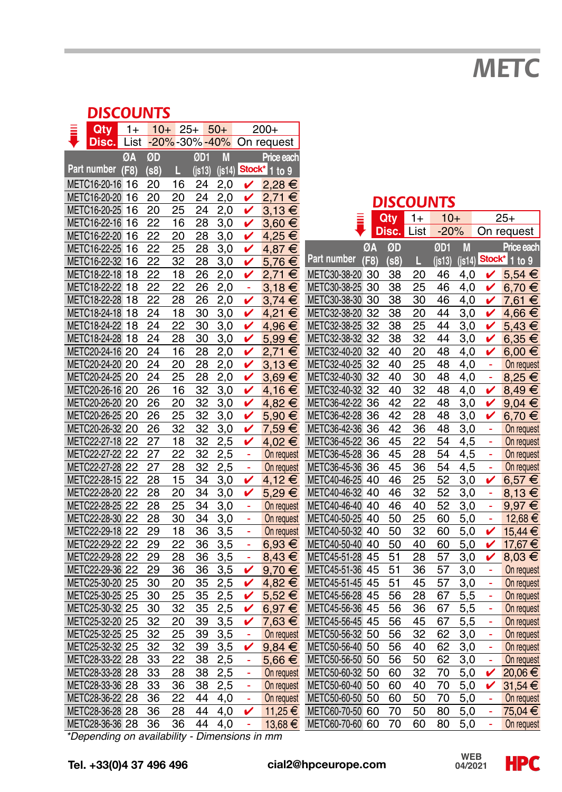*METC*

#### *DISCOUNTS*

| Qty                                           | $1+$ |          |                 | $10+25+50+$     |            |        | $200+$                       |                                    |      |          |                  |              |            |          |                           |
|-----------------------------------------------|------|----------|-----------------|-----------------|------------|--------|------------------------------|------------------------------------|------|----------|------------------|--------------|------------|----------|---------------------------|
| Disc.                                         |      |          |                 |                 |            |        | List -20%-30%-40% On request |                                    |      |          |                  |              |            |          |                           |
|                                               | ØA   | ØD       |                 | ØD1             | M          |        | Price each                   |                                    |      |          |                  |              |            |          |                           |
| Part number (F8)                              |      | (s8)     | П               | $($ is13)       | $($ is14   |        | Stock* 1 to 9                |                                    |      |          |                  |              |            |          |                           |
| METC16-20-16 16                               |      | 20       | 16              | 24              | 2,0        | v      | 2,28€                        |                                    |      |          |                  |              |            |          |                           |
| METC16-20-20 16                               |      | 20       | 20              | 24              | 2,0        | ✓      | 2,71 €                       |                                    |      |          | <b>DISCOUNTS</b> |              |            |          |                           |
| METC16-20-25 16                               |      | 20       | 25              | 24              | 2,0        | v      | 3,13€                        |                                    |      |          |                  |              |            |          |                           |
| METC16-22-16 16                               |      | 22       | 16              | 28              | 3,0        | v      | 3,60 €                       |                                    |      | Qtv      | $1+$             | $10+$        |            |          | $25+$                     |
| METC16-22-20 16                               |      | 22       | 20              | 28              | 3,0        | v      | 4,25 €                       |                                    |      | Disc.    | List             | $-20%$       |            |          | On request                |
| METC16-22-25 16                               |      | 22       | 25              | 28              | 3,0        | v      | 4,87 €                       |                                    | ØA   | ØD       |                  | ØD1          | M          |          | Price each                |
| METC16-22-32 16                               |      | 22       | 32              | 28              | 3,0        | v      | 5,76€                        | Part number                        | (F8) | (s8)     | Ш                | $($ is13 $)$ | (js14)     |          | Stock <sup>*</sup> 1 to 9 |
| METC18-22-18 18                               |      | 22       | 18              | 26              | 2,0        | v      | 2,71€                        | METC30-38-20 30                    |      | 38       | 20               | 46           | 4,0        | v        | 5,54 €                    |
| METC18-22-22 18                               |      | 22       | 22              | 26              | 2,0        | ä,     | $3,18 \in$                   | METC30-38-25 30                    |      | 38       | 25               | 46           | 4,0        | v        | 6,70€                     |
| METC18-22-28 18                               |      | 22       | 28              | 26              | 2,0        | v      | $3.74 \in$                   | METC30-38-30 30                    |      | 38       | 30               | 46           | 4.0        | v        | 7,61 €                    |
| METC18-24-18 18                               |      | 24       | 18              | 30              | 3,0        | v      | 4,21€                        | METC32-38-20 32                    |      | 38       | 20               | 44           | 3,0        | v        | 4,66 €                    |
| METC18-24-22 18                               |      | 24       | $\overline{22}$ | 30              | 3,0        | v      | 4,96€                        | METC32-38-25 32                    |      | 38       | 25               | 44           | 3,0        | v        | 5,43 €                    |
| METC18-24-28 18                               |      | 24       | 28              | 30              | 3,0        | v      | 5,99€                        | METC32-38-32 32                    |      | 38       | 32               | 44           | 3,0        | v        | $6,35 \in$                |
| METC20-24-16 20                               |      | 24       | 16              | 28              | 2,0        | v      | 2.71€                        | METC32-40-20 32                    |      | 40       | 20               | 48           | 4,0        | v        | $6.00 \in$                |
| METC20-24-20 20                               |      | 24       | 20              | 28              | 2,0        | v      | $3,13 \in$                   | METC32-40-25 32                    |      | 40       | 25               | 48           | 4,0        | ä,       | On request                |
| METC20-24-25 20                               |      | 24       | 25              | 28              | 2,0        | V      | $3,69 \in$                   | METC32-40-30 32                    |      | 40       | 30               | 48           | 4,0        | Ţ        | 8,25€                     |
| METC20-26-16 20                               |      | 26       | 16              | 32              | 3,0        | V      | 4,16€                        | METC32-40-32 32                    |      | 40       | 32               | 48           | 4,0        | v        | $8.49 \in$                |
| METC20-26-20 20                               |      | 26       | 20              | 32              | 3,0        | v      | 4,82 €                       | METC36-42-22 36                    |      | 42       | 22               | 48           | 3,0        | v        | $9,04 \in$                |
| METC20-26-25 20                               |      | 26       | 25              | 32              | 3,0        | v      | 5,90 €                       | METC36-42-28 36                    |      | 42       | 28               | 48           | 3,0        | v        | 6,70€                     |
| METC20-26-32 20                               |      | 26       | 32              | 32              | 3,0        | v      | 7,59 €                       | METC36-42-36 36                    |      | 42       | 36               | 48           | 3,0        | ä,       | On request                |
| METC22-27-18 22                               |      | 27       | 18              | 32              | 2,5        | V      | 4,02€                        | METC36-45-22 36                    |      | 45       | 22               | 54           | 4,5        | Ξ        | On request                |
| METC22-27-22 22                               |      | 27       | $\overline{22}$ | $\overline{32}$ | 2,5        | ä,     | On request                   | METC36-45-28 36                    |      | 45       | 28               | 54           | 4,5        | ä,       | On request                |
| METC22-27-28 22                               |      | 27       | 28              | 32              | 2,5        | ä,     | On request                   | METC36-45-36 36                    |      | 45       | 36               | 54           | 4,5        | ä,       | On request                |
| METC22-28-15 22                               |      | 28       | 15              | 34              | 3,0        | v      | 4,12€                        | METC40-46-25 40                    |      | 46       | 25               | 52           | 3,0        | v        | 6,57€                     |
| METC22-28-20 22                               |      | 28       | 20              | 34              | 3,0        | V      | $5,29 \in$                   | METC40-46-32 40                    |      | 46       | 32               | 52           | 3,0        | ÷.       | $8,13 \in$                |
| METC22-28-25 22                               |      | 28       | 25              | 34              | 3,0        | ä,     | On request                   | METC40-46-40 40                    |      | 46       | 40               | 52           | 3,0        | ÷<br>ä,  | 9,97€                     |
| METC22-28-30 22                               |      | 28       | 30              | 34              | 3,0        | ä,     | On request                   | METC40-50-25 40                    |      | 50       | 25               | 60           | 5,0        |          | 12,68 €                   |
| METC22-29-18 22<br>METC22-29-22 22            |      | 29       | 18              | 36              | 3,5        | ÷      | On request                   | METC40-50-32 40                    |      | 50       | 32               | 60           | 5,0        | v        | 15,44 €                   |
|                                               |      | 29       | 22              | 36              | 3,5        | ä      | $6,93 \in$                   | METC40-50-40 40                    |      | 50       | 40               | 60           | 5,0        | v        | 17,67€                    |
| METC22-29-28 22                               |      | 29       | 28              | 36              | 3,5        | ÷<br>v | $8,43 \in$                   | METC45-51-28 45                    |      | 51       | 28               | 57           | 3,0        | v        | 8,03€                     |
| METC22-29-36 22<br>METC25-30-20 25            |      | 29<br>30 | 36              | 36              | 3,5        | v      | 9,70€                        | METC45-51-36 45<br>METC45-51-45 45 |      | 51<br>51 | 36<br>45         | 57<br>57     | 3,0        | ÷,<br>÷, | On request                |
| METC25-30-25 25                               |      | 30       | 20<br>25        | 35<br>35        | 2,5<br>2,5 | v      | 4,82 €<br>5,52 €             | METC45-56-28 45                    |      | 56       | 28               | 67           | 3,0<br>5,5 | ÷,       | On request                |
| METC25-30-32 25                               |      | 30       | 32              | 35              | 2,5        | V      | $6,97 \in$                   | METC45-56-36 45                    |      |          | 36               | 67           | 5,5        | ä,       | On request<br>On request  |
| METC25-32-20 25                               |      | 32       | 20              | 39              | 3,5        | v      | 7,63 €                       | METC45-56-45 45                    |      | 56<br>56 | 45               | 67           | 5,5        | Ξ        | On request                |
| METC25-32-25 25                               |      | 32       | 25              | 39              | 3,5        | ä,     | On request                   | METC50-56-32 50                    |      | 56       | 32               | 62           | 3,0        | ä,       | On request                |
| METC25-32-32 25                               |      | 32       | 32              | 39              | 3,5        | v      | $9,84 \in$                   | METC50-56-40 50                    |      | 56       | 40               | 62           | 3,0        | ÷        | On request                |
| METC28-33-22 28                               |      | 33       | 22              | 38              | 2,5        | ä,     | 5,66 €                       | METC50-56-50 50                    |      | 56       | 50               | 62           | 3,0        | ä,       | On request                |
| METC28-33-28 28                               |      | 33       | 28              | 38              | 2,5        | ÷,     | On request                   | METC50-60-32 50                    |      | 60       | 32               | 70           | 5,0        | V        | 20,06€                    |
| METC28-33-36 28                               |      | 33       | 36              | 38              | 2,5        | ä,     | On request                   | METC50-60-40 50                    |      | 60       | 40               | 70           | 5,0        | v        | 31,54€                    |
| METC28-36-22 28                               |      | 36       | 22              | 44              | 4,0        | ÷,     | On request                   | METC50-60-50 50                    |      | 60       | 50               | 70           | 5,0        | ۰        | On request                |
| METC28-36-28 28                               |      | 36       | 28              | 44              | 4,0        | v      | 11,25 €                      | METC60-70-50 60                    |      | 70       | 50               | 80           | 5,0        | ä,       | 75,04€                    |
| METC28-36-36 28                               |      | 36       | 36              | 44              | 4.0        | ÷.     | 13,68 €                      | METC60-70-60 60                    |      | 70       | 60               | 80           | 5,0        | L,       | On request                |
| *Depending on availability - Dimensions in mm |      |          |                 |                 |            |        |                              |                                    |      |          |                  |              |            |          |                           |
|                                               |      |          |                 |                 |            |        |                              |                                    |      |          |                  |              |            |          |                           |

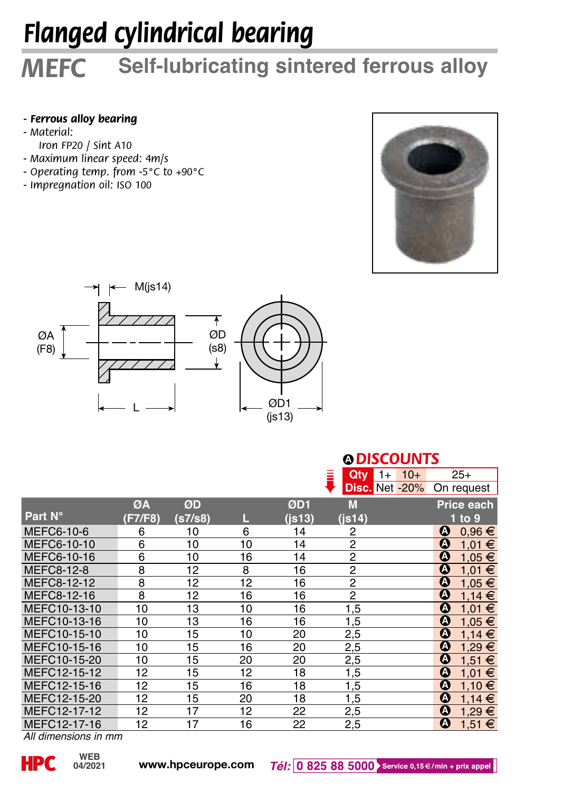# *Flanged cylindrical bearing*

## *MEFC* **Self-lubricating sintered ferrous alloy**

#### *- Ferrous alloy bearing*

- *Material:*
- *Iron FP20 / Sint A10*
- *Maximum linear speed: 4m/s*
- *Operating temp. from -5°C to +90°C*
- *Impregnation oil: ISO 100*





#### **A** *DISCOUNTS*

|              |         |         |    |        | <b>Qty</b><br>Ξ | $10+$<br>$1+$         | 25+                             |
|--------------|---------|---------|----|--------|-----------------|-----------------------|---------------------------------|
|              |         |         |    |        |                 | <b>Disc.</b> Net -20% | On request                      |
|              | ØA      | ØD      |    | ØD1    | M               |                       | Price each                      |
| Part N°      | (F7/F8) | (s7/s8) | L  | (i513) | $($ js14 $)$    |                       | 1 to 9                          |
| MEFC6-10-6   | 6       | 10      | 6  | 14     | 2               |                       | ◐<br>$0.96 \in$                 |
| MEFC6-10-10  | 6       | 10      | 10 | 14     | $\overline{2}$  |                       | ⋒<br>1,01 €                     |
| MEFC6-10-16  | 6       | 10      | 16 | 14     | $\overline{2}$  |                       | $\boldsymbol{\Omega}$<br>1,05 € |
| MEFC8-12-8   | 8       | 12      | 8  | 16     | $\overline{2}$  |                       | $\boldsymbol{\Omega}$<br>1,01 € |
| MEFC8-12-12  | 8       | 12      | 12 | 16     | $\overline{2}$  |                       | ➊<br>1,05 €                     |
| MEFC8-12-16  | 8       | 12      | 16 | 16     | $\overline{2}$  |                       | ۵<br>1,14€                      |
| MEFC10-13-10 | 10      | 13      | 10 | 16     | 1,5             |                       | Θ<br>1,01 €                     |
| MEFC10-13-16 | 10      | 13      | 16 | 16     | 1,5             |                       | Ø<br>1,05 €                     |
| MEFC10-15-10 | 10      | 15      | 10 | 20     | 2,5             |                       | Θ<br>1,14€                      |
| MEFC10-15-16 | 10      | 15      | 16 | 20     | 2,5             |                       | Θ<br>1,29 €                     |
| MEFC10-15-20 | 10      | 15      | 20 | 20     | 2,5             |                       | ۵<br>1,51 €                     |
| MEFC12-15-12 | 12      | 15      | 12 | 18     | 1,5             |                       | ۵<br>1,01 €                     |
| MEFC12-15-16 | 12      | 15      | 16 | 18     | 1,5             |                       | ۵<br>1,10 €                     |
| MEFC12-15-20 | 12      | 15      | 20 | 18     | 1,5             |                       | Ø<br>1,14€                      |
| MEFC12-17-12 | 12      | 17      | 12 | 22     | 2,5             |                       | ۵<br>$1,29 \in$                 |
| MEFC12-17-16 | 12      | 17      | 16 | 22     | 2,5             |                       | $\boldsymbol{\Omega}$<br>1,51 € |

*All dimensions in mm*

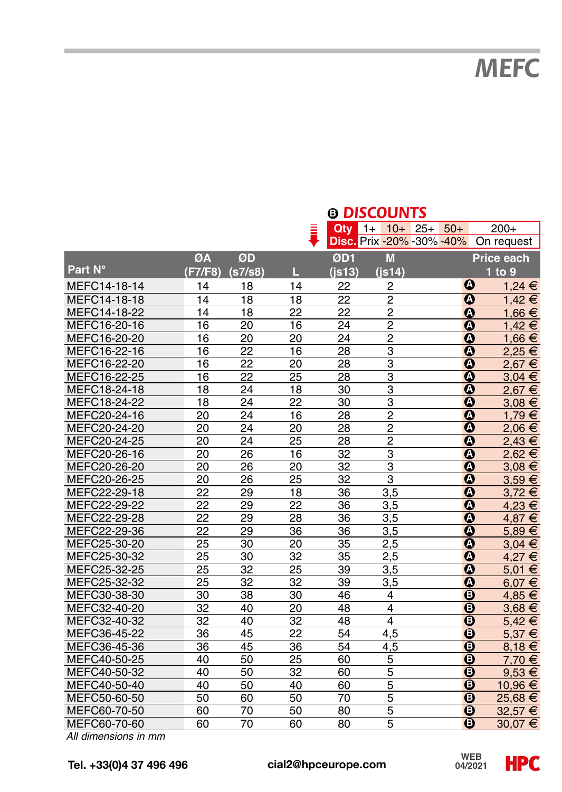*MEFC*

|              |                 |                  |                 |                 | © DISCOUNTS      |                                  |            |
|--------------|-----------------|------------------|-----------------|-----------------|------------------|----------------------------------|------------|
|              |                 |                  |                 | Qty             | $1+$<br>$10+25+$ | $50+$                            | $200+$     |
|              |                 |                  |                 |                 |                  | <b>Disc.</b> Prix -20% -30% -40% | On request |
|              | ØA              | ØD               |                 | ØD1             | M                |                                  | Price each |
| Part N°      | (F7/F8)         | (s7/s8)          | П.,             | $($ is13 $)$    | $($ is14 $)$     |                                  | 1 to 9     |
| MEFC14-18-14 | 14              | 18               | 14              | 22              | $\overline{2}$   | Ø                                | 1.24 €     |
| MEFC14-18-18 | 14              | 18               | 18              | 22              | $\overline{c}$   | $\boldsymbol{\Omega}$            | $1.42 \in$ |
| MEFC14-18-22 | 14              | 18               | 22              | 22              | $\overline{2}$   | ◑                                | 1,66 €     |
| MEFC16-20-16 | 16              | 20               | 16              | 24              | $\overline{2}$   | $\boldsymbol{\Omega}$            | $1.42 \in$ |
| MEFC16-20-20 | 16              | 20               | 20              | 24              | $\overline{2}$   | $\boldsymbol{\Omega}$            | 1,66 €     |
| MEFC16-22-16 | 16              | 22               | 16              | 28              | $\overline{3}$   | $\boldsymbol{\Omega}$            | 2,25€      |
| MEFC16-22-20 | 16              | 22               | 20              | 28              | 3                | ◑                                | 2,67€      |
| MEFC16-22-25 | 16              | 22               | 25              | 28              | 3                | $\boldsymbol{\Omega}$            | $3,04 \in$ |
| MEFC18-24-18 | $\overline{18}$ | $\overline{24}$  | 18              | 30              | 3                | $\boldsymbol{\Omega}$            | 2,67€      |
| MEFC18-24-22 | $\overline{18}$ | $\overline{24}$  | $\overline{22}$ | $\overline{30}$ | 3                | $\overline{\mathbf{o}}$          | $3.08 \in$ |
| MEFC20-24-16 | 20              | $\overline{2}$ 4 | 16              | 28              | $\overline{2}$   | $\boldsymbol{\Omega}$            | 1.79€      |
| MEFC20-24-20 | 20              | 24               | 20              | 28              | $\overline{2}$   | ◑                                | 2.06 €     |
| MEFC20-24-25 | 20              | 24               | 25              | 28              | $\overline{c}$   | ◑                                | 2.43€      |
| MEFC20-26-16 | 20              | 26               | 16              | 32              | 3                | $\boldsymbol{\Omega}$            | 2,62€      |
| MEFC20-26-20 | 20              | 26               | 20              | 32              | 3                | ⋒                                | $3.08 \in$ |
| MEFC20-26-25 | 20              | 26               | 25              | $\overline{32}$ | $\overline{3}$   | $\overline{\mathbf{o}}$          | $3.59 \in$ |
| MEFC22-29-18 | 22              | 29               | 18              | 36              | 3,5              | $\boldsymbol{\Omega}$            | 3.72€      |
| MEFC22-29-22 | 22              | 29               | 22              | 36              | 3,5              | $\boldsymbol{\Omega}$            | 4.23 €     |
| MEFC22-29-28 | 22              | 29               | 28              | 36              | 3,5              | $\boldsymbol{\Omega}$            | 4.87 €     |
| MEFC22-29-36 | 22              | 29               | 36              | 36              | 3,5              | $\boldsymbol{\Omega}$            | 5,89€      |
| MEFC25-30-20 | 25              | 30               | 20              | 35              | 2,5              | $\boldsymbol{\Omega}$            | $3.04 \in$ |
| MEFC25-30-32 | 25              | 30               | 32              | 35              | 2.5              | $\overline{\mathbf{o}}$          | 4.27 €     |
| MEFC25-32-25 | 25              | 32               | 25              | 39              | 3,5              | $\boldsymbol{\Omega}$            | 5,01 €     |
| MEFC25-32-32 | 25              | 32               | 32              | 39              | 3,5              | Ø                                | $6,07 \in$ |
| MEFC30-38-30 | 30              | 38               | 30              | 46              | 4                | $\Omega$                         | 4,85 €     |
| MEFC32-40-20 | 32              | 40               | 20              | 48              | $\overline{4}$   | $\bullet$                        | $3.68 \in$ |
| MEFC32-40-32 | 32              | 40               | 32              | 48              | $\overline{4}$   | $\bullet$                        | $5,42 \in$ |
| MEFC36-45-22 | 36              | 45               | 22              | 54              | 4.5              | $\overline{O}$                   | 5.37 €     |
| MEFC36-45-36 | 36              | 45               | 36              | 54              | 4,5              | $\overline{O}$                   | $8,18 \in$ |
| MEFC40-50-25 | 40              | 50               | 25              | 60              | 5                | $\boldsymbol{\Theta}$            | 7.70 €     |
| MEFC40-50-32 | 40              | 50               | 32              | 60              | $\overline{5}$   | $\Omega$                         | $9.53 \in$ |
| MEFC40-50-40 | 40              | 50               | 40              | 60              | 5                | $\boldsymbol{\Theta}$            | 10,96 €    |
| MEFC50-60-50 | 50              | 60               | 50              | 70              | 5                | $\boldsymbol{\Theta}$            | 25,68 €    |
| MEFC60-70-50 | 60              | 70               | 50              | 80              | $\overline{5}$   | $\boldsymbol{\Theta}$            | 32,57 €    |
| MEFC60-70-60 | 60              | 70               | 60              | 80              | 5                | $\mathbf 0$                      | 30,07€     |

*All dimensions in mm*

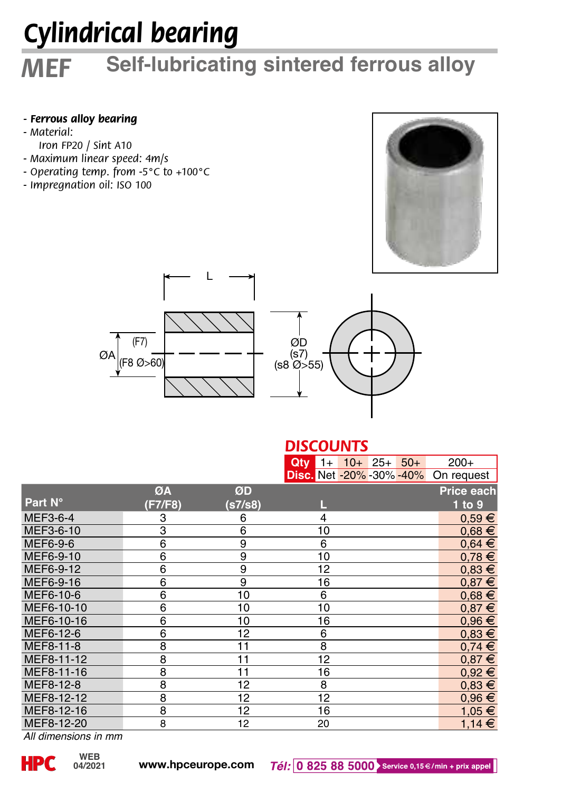# *Cylindrical bearing*

## *MEF* **Self-lubricating sintered ferrous alloy**

#### *- Ferrous alloy bearing*

- *Material:*
- *Iron FP20 / Sint A10*
- *Maximum linear speed: 4m/s*
- *Operating temp. from -5°C to +100°C*
- *Impregnation oil: ISO 100*







|            |                         |         | <b>DISCOUNTS</b> |                                 |            |
|------------|-------------------------|---------|------------------|---------------------------------|------------|
|            |                         |         |                  | $Qty$ 1+ 10+ 25+ 50+            | $200+$     |
|            |                         |         |                  | <b>Disc.</b> Net -20% -30% -40% | On request |
|            | ØA                      | ØD      |                  |                                 | Price each |
| Part N°    | (F7/F8)                 | (s7/s8) |                  |                                 | 1 to 9     |
| MEF3-6-4   | 3                       | 6       | 4                |                                 | $0.59 \in$ |
| MEF3-6-10  | 3                       | 6       | 10               |                                 | $0.68 \in$ |
| MEF6-9-6   | 6                       | 9       | 6                |                                 | $0,64 \in$ |
| MEF6-9-10  | 6                       | 9       | 10               |                                 | $0.78 \in$ |
| MEF6-9-12  | 6                       | 9       | 12               |                                 | $0,83 \in$ |
| MEF6-9-16  | 6                       | 9       | 16               |                                 | $0.87 \in$ |
| MEF6-10-6  | 6                       | 10      | 6                |                                 | $0,68 \in$ |
| MEF6-10-10 | 6                       | 10      | 10               |                                 | $0.87 \in$ |
| MEF6-10-16 | 6                       | 10      | 16               |                                 | $0.96 \in$ |
| MEF6-12-6  | 6                       | 12      | 6                |                                 | $0,83 \in$ |
| MEF8-11-8  | $\overline{\mathbf{8}}$ | 11      | $\overline{8}$   |                                 | $0,74 \in$ |
| MEF8-11-12 | 8                       | 11      | 12               |                                 | $0.87 \in$ |
| MEF8-11-16 | 8                       | 11      | 16               |                                 | $0.92 \in$ |
| MEF8-12-8  | 8                       | 12      | 8                |                                 | $0.83 \in$ |
| MEF8-12-12 | 8                       | 12      | 12               |                                 | $0.96 \in$ |
| MEF8-12-16 | 8                       | 12      | 16               |                                 | 1,05 €     |
| MEF8-12-20 | $\overline{8}$          | 12      | 20               |                                 | $1,14 \in$ |

*All dimensions in mm*

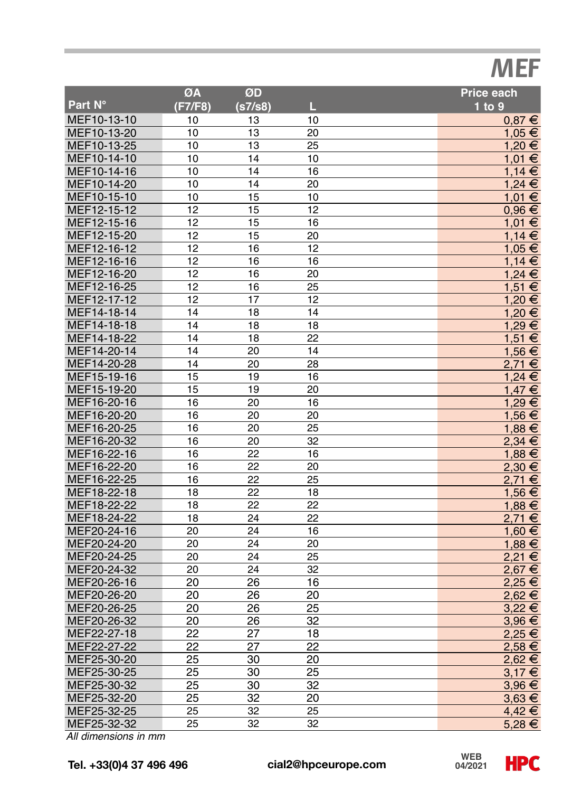## *MEF*

|             | ØA              | ØD              |    | Price each |
|-------------|-----------------|-----------------|----|------------|
| Part N°     | (F7/F8)         | (s7/s8)         | L  | $1$ to $9$ |
| MEF10-13-10 | 10              | 13              | 10 | $0,87 \in$ |
| MEF10-13-20 | 10              | 13              | 20 | 1,05 €     |
| MEF10-13-25 | 10              | $\overline{1}3$ | 25 | 1,20€      |
| MEF10-14-10 | 10              | 14              | 10 | 1.01 €     |
| MEF10-14-16 | 10              | 14              | 16 | 1,14€      |
| MEF10-14-20 | 10              | 14              | 20 | 1.24 €     |
| MEF10-15-10 | 10              | 15              | 10 | 1,01 €     |
| MEF12-15-12 | 12              | 15              | 12 | $0.96 \in$ |
| MEF12-15-16 | 12              | 15              | 16 | 1,01 €     |
| MEF12-15-20 | 12              | 15              | 20 | 1,14€      |
| MEF12-16-12 | 12              | 16              | 12 | 1,05 €     |
| MEF12-16-16 | 12              | 16              | 16 | 1,14€      |
| MEF12-16-20 | 12              | 16              | 20 | $1,24 \in$ |
| MEF12-16-25 | 12              | 16              | 25 | $1,51 \in$ |
| MEF12-17-12 | 12              | 17              | 12 | 1,20€      |
| MEF14-18-14 | 14              | 18              | 14 | 1,20€      |
| MEF14-18-18 | 14              | 18              | 18 | 1,29€      |
| MEF14-18-22 | 14              | 18              | 22 | 1,51 €     |
| MEF14-20-14 | 14              | 20              | 14 | 1,56 €     |
| MEF14-20-28 | 14              | 20              | 28 | 2,71€      |
| MEF15-19-16 | 15              | 19              | 16 | $1,24$ €   |
| MEF15-19-20 | 15              | 19              | 20 | $1,47 \in$ |
| MEF16-20-16 | 16              | 20              | 16 | 1,29€      |
| MEF16-20-20 | 16              | 20              | 20 | 1,56 €     |
| MEF16-20-25 | 16              | 20              | 25 | 1.88 €     |
| MEF16-20-32 | 16              | 20              | 32 | 2,34€      |
| MEF16-22-16 | 16              | 22              | 16 | 1,88€      |
| MEF16-22-20 | 16              | 22              | 20 | $2,30 \in$ |
| MEF16-22-25 | 16              | 22              | 25 | 2.71 €     |
| MEF18-22-18 | 18              | 22              | 18 | 1,56 €     |
| MEF18-22-22 | 18              | 22              | 22 | 1,88 €     |
| MEF18-24-22 | 18              | 24              | 22 | 2,71€      |
| MEF20-24-16 | 20              | 24              | 16 | 1,60 €     |
| MEF20-24-20 | 20              | 24              | 20 | 1,88€      |
| MEF20-24-25 | 20              | 24              | 25 | 2,21€      |
| MEF20-24-32 | 20              | 24              | 32 | 2,67€      |
| MEF20-26-16 | 20              | 26              | 16 | 2,25 €     |
| MEF20-26-20 | 20              | 26              | 20 | 2,62€      |
| MEF20-26-25 | 20              | 26              | 25 | 3,22€      |
| MEF20-26-32 | 20              | 26              | 32 | 3,96€      |
| MEF22-27-18 | 22              | 27              | 18 | 2,25€      |
| MEF22-27-22 | $\overline{22}$ | 27              | 22 | 2,58€      |
| MEF25-30-20 | 25              | 30              | 20 | 2,62€      |
| MEF25-30-25 | 25              | 30              | 25 | 3.17€      |
| MEF25-30-32 | 25              | 30              | 32 | $3,96 \in$ |
| MEF25-32-20 | 25              | 32              | 20 | $3,63 \in$ |
| MEF25-32-25 | 25              | 32              | 25 | 4,42€      |
| MEF25-32-32 | 25              | 32              | 32 | 5,28€      |

*All dimensions in mm*

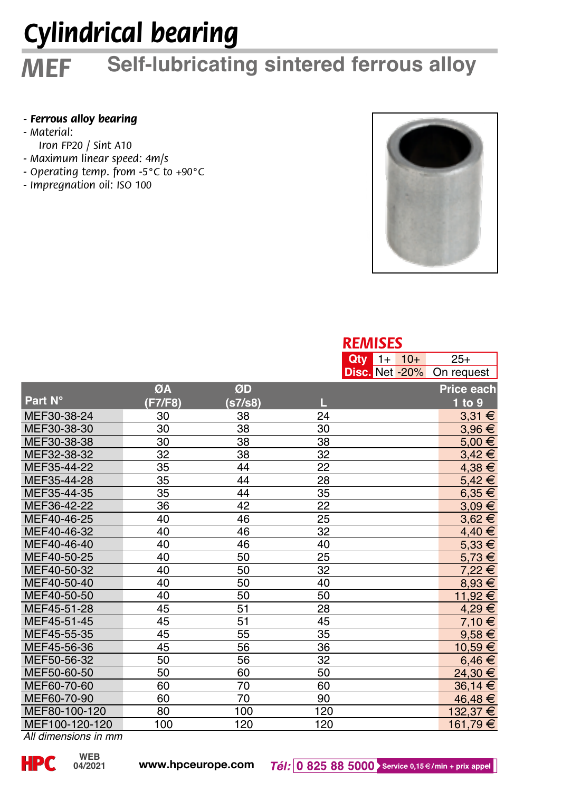# *Cylindrical bearing*

#### *MEF* **Self-lubricating sintered ferrous alloy**

#### *- Ferrous alloy bearing*

- *Material:*
- *Iron FP20 / Sint A10*
- *Maximum linear speed: 4m/s*
- *Operating temp. from -5°C to +90°C*
- *Impregnation oil: ISO 100*



|                |         |         |     | <b>REMISES</b>    |            |
|----------------|---------|---------|-----|-------------------|------------|
|                |         |         |     | $Qtv$ 1+<br>$10+$ | $25+$      |
|                |         |         |     | Disc. Net -20%    | On request |
|                | ØA      | ØD      |     |                   | Price each |
| Part N°        | (F7/F8) | (s7/s8) | П   |                   | 1 to 9     |
| MEF30-38-24    | 30      | 38      | 24  |                   | $3.31 \in$ |
| MEF30-38-30    | 30      | 38      | 30  |                   | $3,96 \in$ |
| MEF30-38-38    | 30      | 38      | 38  |                   | $5,00 \in$ |
| MEF32-38-32    | 32      | 38      | 32  |                   | $3,42 \in$ |
| MEF35-44-22    | 35      | 44      | 22  |                   | $4,38 \in$ |
| MEF35-44-28    | 35      | 44      | 28  |                   | $5,42 \in$ |
| MEF35-44-35    | 35      | 44      | 35  |                   | $6,35 \in$ |
| MEF36-42-22    | 36      | 42      | 22  |                   | $3.09 \in$ |
| MEF40-46-25    | 40      | 46      | 25  |                   | $3,62 \in$ |
| MEF40-46-32    | 40      | 46      | 32  |                   | 4,40 €     |
| MEF40-46-40    | 40      | 46      | 40  |                   | $5,33 \in$ |
| MEF40-50-25    | 40      | 50      | 25  |                   | $5,73 \in$ |
| MEF40-50-32    | 40      | 50      | 32  |                   | 7.22€      |
| MEF40-50-40    | 40      | 50      | 40  |                   | $8,93 \in$ |
| MEF40-50-50    | 40      | 50      | 50  |                   | 11,92 €    |
| MEF45-51-28    | 45      | 51      | 28  |                   | 4,29€      |
| MEF45-51-45    | 45      | 51      | 45  |                   | 7,10 €     |
| MEF45-55-35    | 45      | 55      | 35  |                   | $9,58 \in$ |
| MEF45-56-36    | 45      | 56      | 36  |                   | 10,59 €    |
| MEF50-56-32    | 50      | 56      | 32  |                   | $6,46 \in$ |
| MEF50-60-50    | 50      | 60      | 50  |                   | 24,30 €    |
| MEF60-70-60    | 60      | 70      | 60  |                   | 36.14 €    |
| MEF60-70-90    | 60      | 70      | 90  |                   | 46,48 €    |
| MEF80-100-120  | 80      | 100     | 120 |                   | 132,37 €   |
| MEF100-120-120 | 100     | 120     | 120 |                   | 161,79 €   |

*All dimensions in mm*

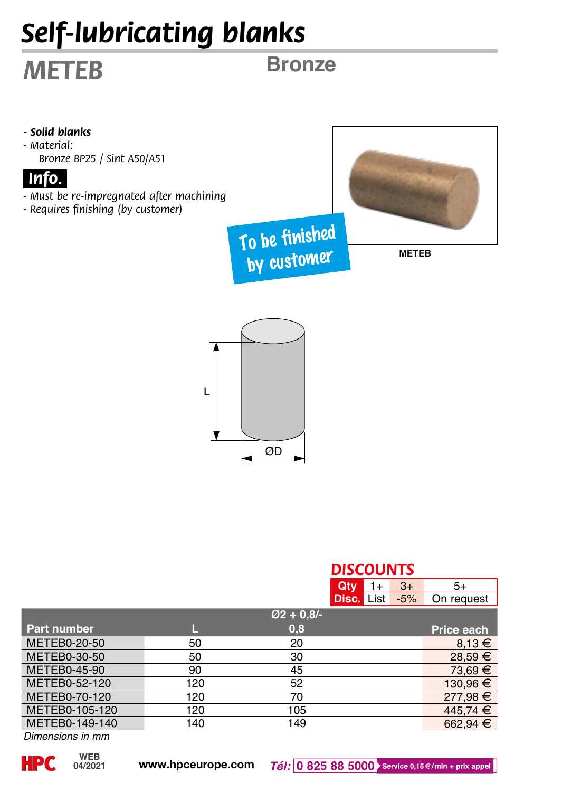# *Self-lubricating blanks*

## *METEB*

**Bronze**



L

| ØD            |     |             |                         |      |       |            |
|---------------|-----|-------------|-------------------------|------|-------|------------|
|               |     |             | <b>DISCOUNTS</b><br>Qty | $1+$ | $3+$  | $5+$       |
|               |     |             | <b>Disc.</b> List       |      | $-5%$ | On request |
|               |     | $Ø2 + 0.8/$ |                         |      |       |            |
| Part number   | L   | 0,8         |                         |      |       | Price each |
| METEB0-20-50  | 50  | 20          |                         |      |       | $8,13 \in$ |
| METEB0-30-50  | 50  | 30          |                         |      |       | 28,59 €    |
| METEB0-45-90  | 90  | 45          |                         |      |       | 73,69 €    |
| METEB0-52-120 | 120 | 52          |                         |      |       | 130.96€    |

METEB0-52-120 120 52 130,96 €<br>METEB0-70-120 120 70 277,98 € METEB0-70-120 120 70<br>METEB0-105-120 120 105 105 445.74 €

METEB0-105-120 120 105 105 445,74  $\in$  METEB0-149-140 140 149 662.94 METEB0-149-140 140 149 149 662,94  $\epsilon$ 

**04/2021**

*Dimensions in mm*

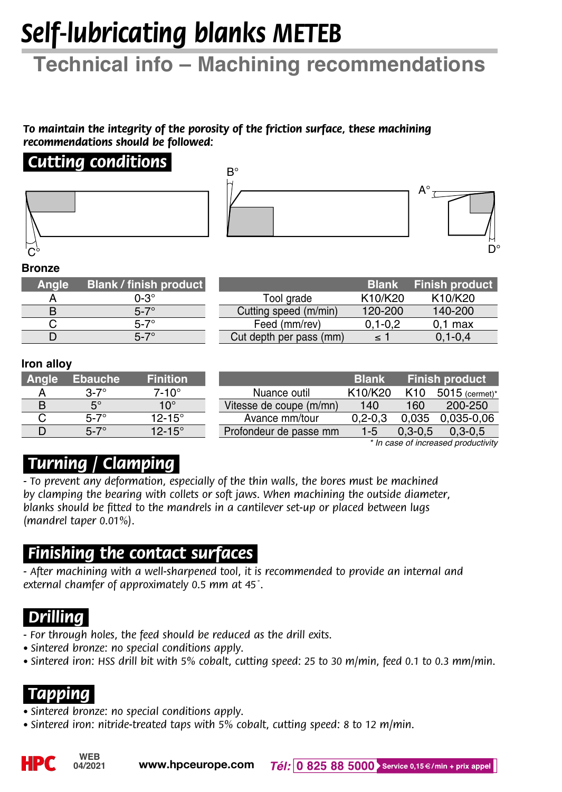# *Self-lubricating blanks METEB*

## **Technical info – Machining recommendations**

*To maintain the integrity of the porosity of the friction surface, these machining recommendations should be followed:*

#### *.Cutting conditions.*





#### **Bronze**

| Angle | <b>Blank / finish product</b> |
|-------|-------------------------------|
| А     | $0-3^\circ$                   |
| R     | $5 - 7^\circ$                 |
|       | $5 - 7^\circ$                 |
| n     |                               |

|                         | <b>Blank</b> | <b>Finish product</b> |
|-------------------------|--------------|-----------------------|
| Tool grade              | K10/K20      | K10/K20               |
| Cutting speed (m/min)   | 120-200      | 140-200               |
| Feed (mm/rev)           | $0.1 - 0.2$  | $0.1$ max             |
| Cut depth per pass (mm) | $\leq 1$     | $0.1 - 0.4$           |

#### **Iron alloy**

| Angle | <b>Ebauche</b> | <b>Finition</b>   |
|-------|----------------|-------------------|
| А     | $3-7^\circ$    | $7-10^\circ$      |
| в     | $5^\circ$      | $10^{\circ}$      |
| C     | $5-7^\circ$    | $12 - 15^{\circ}$ |
| n     |                | $12 - 15^{\circ}$ |

|                         | <b>Blank</b> |                 | <b>Finish product</b> |
|-------------------------|--------------|-----------------|-----------------------|
| Nuance outil            | K10/K20      | K <sub>10</sub> | 5015 (cermet)*        |
| Vitesse de coupe (m/mn) | 140          | 160             | 200-250               |
| Avance mm/tour          | $0.2 - 0.3$  | 0.035           | $0.035 - 0.06$        |
| Profondeur de passe mm  | $1 - 5$      | $0.3 - 0.5$     | $0.3 - 0.5$           |

*\* In case of increased productivity*

## *.Turning / Clamping.*

*- To prevent any deformation, especially of the thin walls, the bores must be machined by clamping the bearing with collets or soft jaws. When machining the outside diameter, blanks should be fitted to the mandrels in a cantilever set-up or placed between lugs (mandrel taper 0.01%).*

### *.Finishing the contact surfaces.*

*- After machining with a well-sharpened tool, it is recommended to provide an internal and external chamfer of approximately 0.5 mm at 45˚.*

## *Drilling.*

*- For through holes, the feed should be reduced as the drill exits.*

- *• Sintered bronze: no special conditions apply.*
- *• Sintered iron: HSS drill bit with 5% cobalt, cutting speed: 25 to 30 m/min, feed 0.1 to 0.3 mm/min.*

## *.Tapping.*

- *• Sintered bronze: no special conditions apply.*
- *• Sintered iron: nitride-treated taps with 5% cobalt, cutting speed: 8 to 12 m/min.*

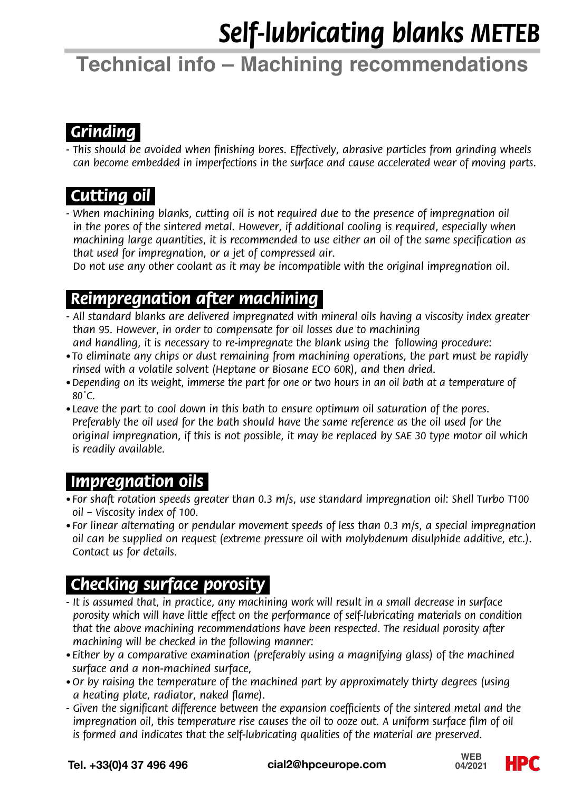# *Self-lubricating blanks METEB*

## **Technical info – Machining recommendations**

## *.Grinding.*

*- This should be avoided when finishing bores. Effectively, abrasive particles from grinding wheels can become embedded in imperfections in the surface and cause accelerated wear of moving parts.*

## *.Cutting oil.*

- When machining blanks, cutting oil is not required due to the presence of impregnation oil *in the pores of the sintered metal. However, if additional cooling is required, especially when machining large quantities, it is recommended to use either an oil of the same specification as that used for impregnation, or a jet of compressed air.* 

 *Do not use any other coolant as it may be incompatible with the original impregnation oil.*

### *.Reimpregnation after machining.*

- *- All standard blanks are delivered impregnated with mineral oils having a viscosity index greater than 95. However, in order to compensate for oil losses due to machining*
- *and handling, it is necessary to re-impregnate the blank using the following procedure: • To eliminate any chips or dust remaining from machining operations, the part must be rapidly rinsed with a volatile solvent (Heptane or Biosane ECO 60R), and then dried.*
- *•Depending on its weight, immerse the part for one or two hours in an oil bath at a temperature of 80˚C.*
- *Leave the part to cool down in this bath to ensure optimum oil saturation of the pores. Preferably the oil used for the bath should have the same reference as the oil used for the original impregnation, if this is not possible, it may be replaced by SAE 30 type motor oil which is readily available.*

### *.Impregnation oils.*

- *• For shaft rotation speeds greater than 0.3 m/s, use standard impregnation oil: Shell Turbo T100 oil – Viscosity index of 100.*
- *• For linear alternating or pendular movement speeds of less than 0.3 m/s, a special impregnation oil can be supplied on request (extreme pressure oil with molybdenum disulphide additive, etc.). Contact us for details.*

## *.Checking surface porosity.*

- *It is assumed that, in practice, any machining work will result in a small decrease in surface porosity which will have little effect on the performance of self-lubricating materials on condition that the above machining recommendations have been respected. The residual porosity after machining will be checked in the following manner:*
- *• Either by a comparative examination (preferably using a magnifying glass) of the machined surface and a non-machined surface,*
- *•Or by raising the temperature of the machined part by approximately thirty degrees (using a heating plate, radiator, naked flame).*
- *Given the significant difference between the expansion coefficients of the sintered metal and the impregnation oil, this temperature rise causes the oil to ooze out. A uniform surface film of oil is formed and indicates that the self-lubricating qualities of the material are preserved.*

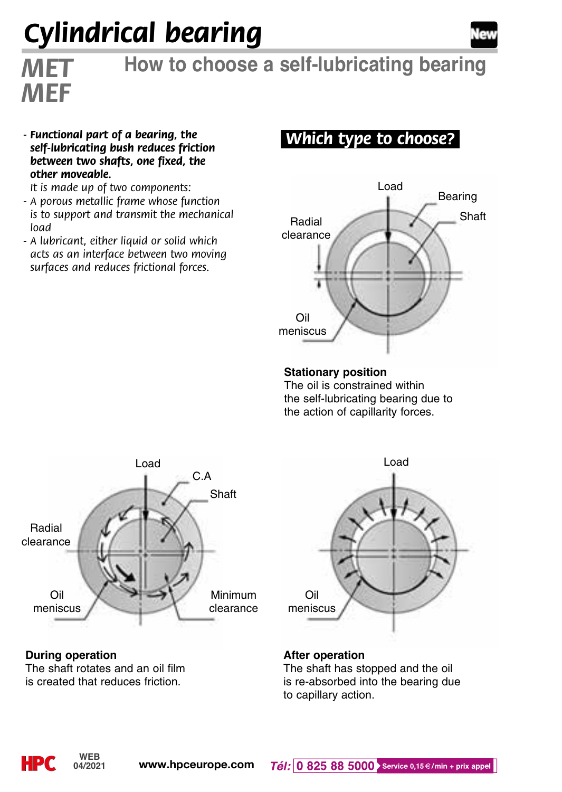# *Cylindrical bearing*



# *MET* **How to choose a self-lubricating bearing**

*- Functional part of a bearing, the self-lubricating bush reduces friction between two shafts, one fixed, the other moveable.*

*It is made up of two components:*

*MEF*

- *A porous metallic frame whose function is to support and transmit the mechanical load*
- *A lubricant, either liquid or solid which acts as an interface between two moving surfaces and reduces frictional forces.*

### *.Which type to choose?.*



**Stationary position**

The oil is constrained within the self-lubricating bearing due to the action of capillarity forces.





**During operation** The shaft rotates and an oil film is created that reduces friction.

#### **After operation**

The shaft has stopped and the oil is re-absorbed into the bearing due to capillary action.

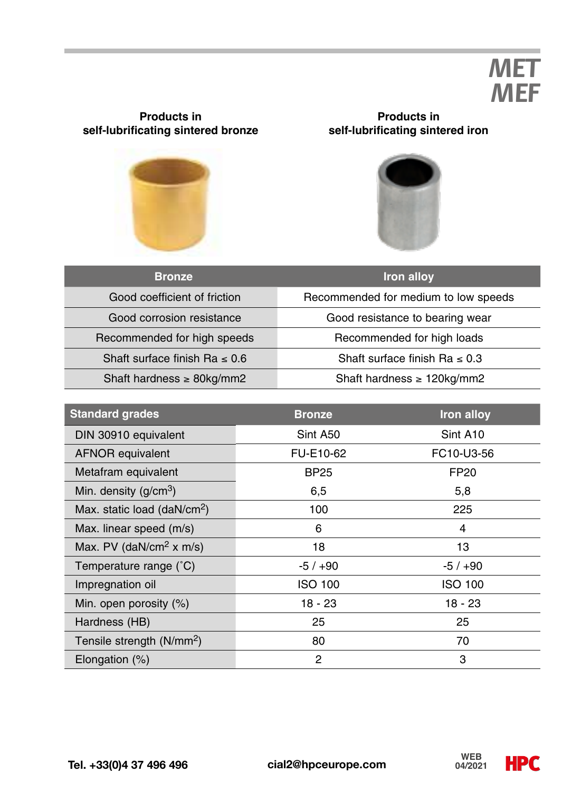## *MET MEF*

# **self-lubrificating sintered bronze**

**Products in**

#### **Products in self-lubrificating sintered iron**



| <b>Bronze</b>                      | Iron alloy                           |  |  |
|------------------------------------|--------------------------------------|--|--|
| Good coefficient of friction       | Recommended for medium to low speeds |  |  |
| Good corrosion resistance          | Good resistance to bearing wear      |  |  |
| Recommended for high speeds        | Recommended for high loads           |  |  |
| Shaft surface finish Ra $\leq 0.6$ | Shaft surface finish Ra $\leq 0.3$   |  |  |
| Shaft hardness $\geq$ 80kg/mm2     | Shaft hardness $\geq 120$ kg/mm2     |  |  |

| <b>Standard grades</b>                  | <b>Bronze</b>  | Iron alloy |
|-----------------------------------------|----------------|------------|
| DIN 30910 equivalent                    | Sint A50       | Sint A10   |
| <b>AFNOR equivalent</b>                 | FU-E10-62      | FC10-U3-56 |
| Metafram equivalent                     | <b>BP25</b>    | FP20       |
| Min. density $(q/cm3)$                  | 6,5            | 5,8        |
| Max. static load (daN/cm <sup>2</sup> ) | 100            | 225        |
| Max. linear speed (m/s)                 | 6              | 4          |
| Max. PV (daN/cm <sup>2</sup> x m/s)     | 18             | 13         |
| Temperature range (°C)                  | $-5/+90$       | $-5/+90$   |
| Impregnation oil                        | ISO 100        | ISO 100    |
| Min. open porosity (%)                  | $18 - 23$      | 18 - 23    |
| Hardness (HB)                           | 25             | 25         |
| Tensile strength (N/mm <sup>2</sup> )   | 80             | 70         |
| Elongation (%)                          | $\overline{2}$ | 3          |

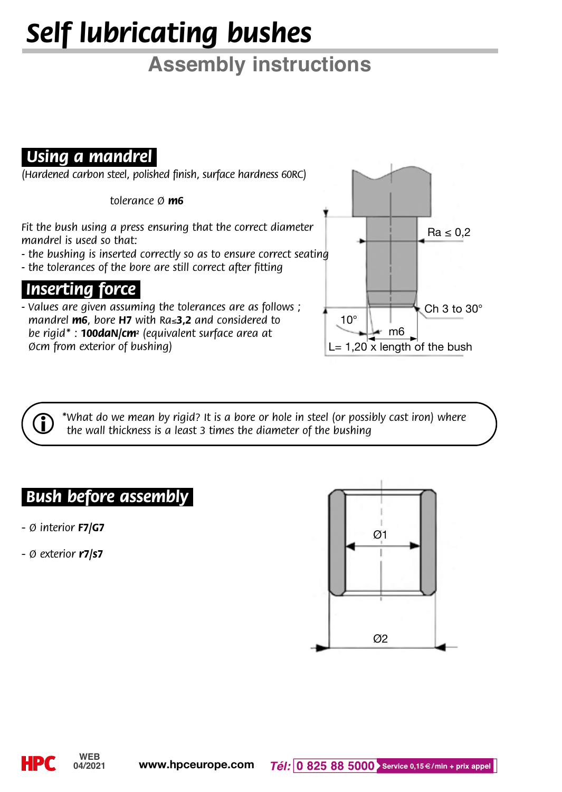# *Self lubricating bushes*

## **Assembly instructions**

## *Using a mandrel.*

*(Hardened carbon steel, polished finish, surface hardness 60RC)*

 *tolerance Ø m6*

*Fit the bush using a press ensuring that the correct diameter mandrel is used so that:* 

- *the bushing is inserted correctly so as to ensure correct seating*
- *the tolerances of the bore are still correct after fitting*

*.Inserting force.*

*- Values are given assuming the tolerances are as follows ; mandrel m6, bore H7 with Ra*≤*3,2 and considered to be rigid\* : 100daN/cm2 (equivalent surface area at Øcm from exterior of bushing)*



i *\*What do we mean by rigid? It is a bore or hole in steel (or possibly cast iron) where the wall thickness is a least 3 times the diameter of the bushing*

#### *.Bush before assembly.*

- *Ø interior F7/G7*
- *Ø exterior r7/s7*